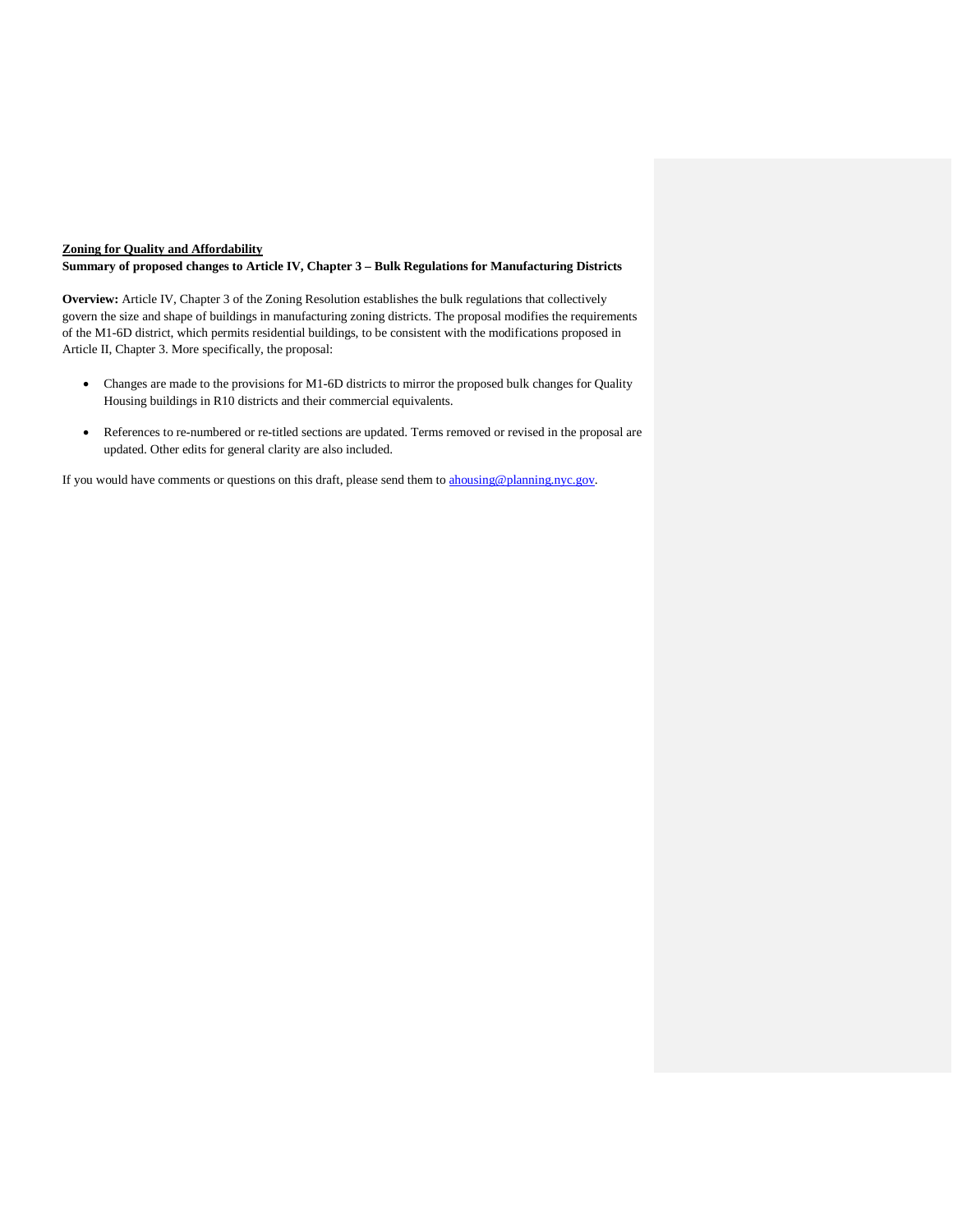# **Zoning for Quality and Affordability**

### **Summary of proposed changes to Article IV, Chapter 3 – Bulk Regulations for Manufacturing Districts**

**Overview:** Article IV, Chapter 3 of the Zoning Resolution establishes the bulk regulations that collectively govern the size and shape of buildings in manufacturing zoning districts. The proposal modifies the requirements of the M1-6D district, which permits residential buildings, to be consistent with the modifications proposed in Article II, Chapter 3. More specifically, the proposal:

- Changes are made to the provisions for M1-6D districts to mirror the proposed bulk changes for Quality Housing buildings in R10 districts and their commercial equivalents.
- References to re-numbered or re-titled sections are updated. Terms removed or revised in the proposal are updated. Other edits for general clarity are also included.

If you would have comments or questions on this draft, please send them to [ahousing@planning.nyc.gov.](mailto:ahousing@planning.nyc.gov)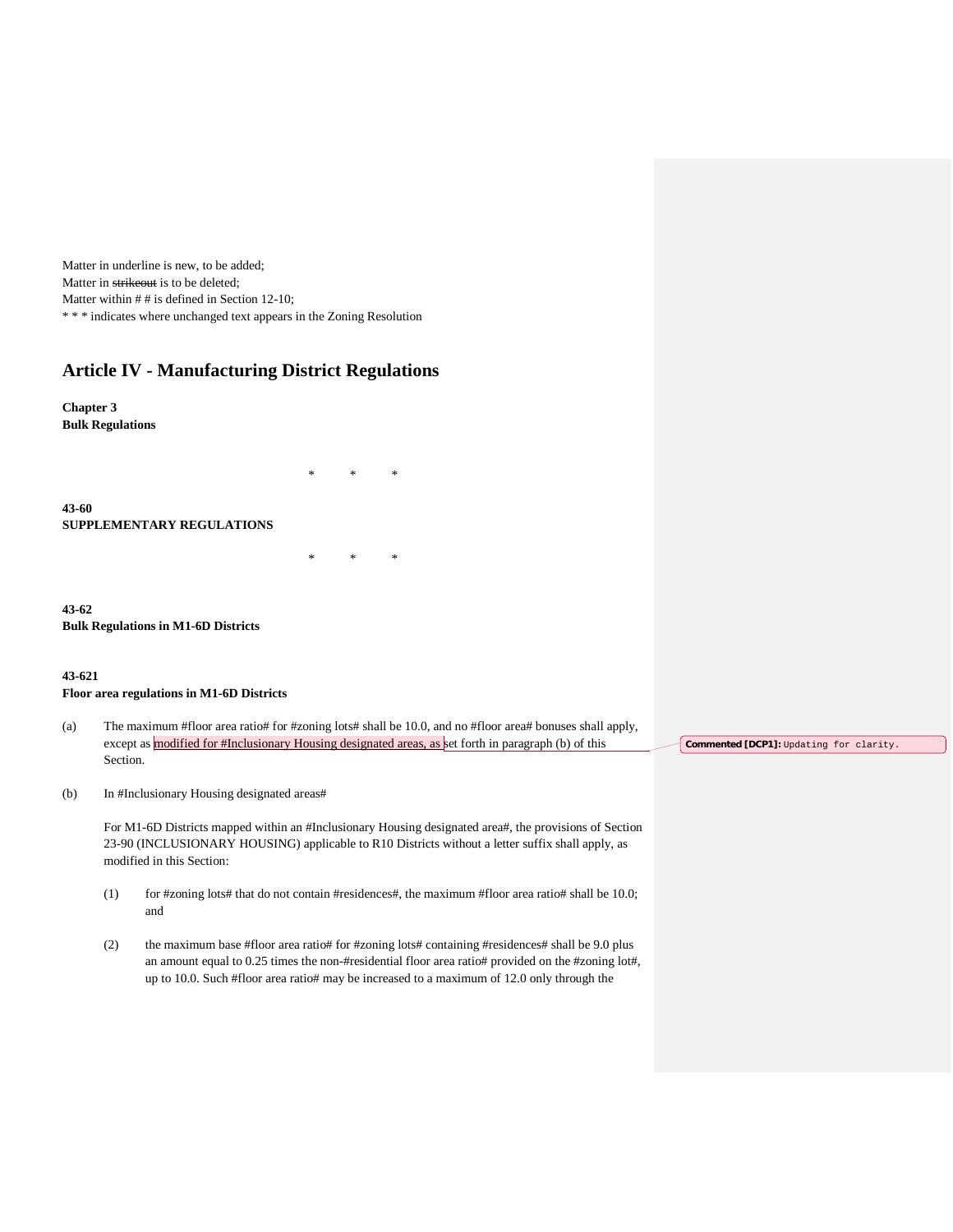Matter in underline is new, to be added; Matter in strikeout is to be deleted; Matter within  $#$  # is defined in Section 12-10; \* \* \* indicates where unchanged text appears in the Zoning Resolution

# **Article IV - Manufacturing District Regulations**

**Chapter 3 Bulk Regulations**

**43-60 SUPPLEMENTARY REGULATIONS**

**43-62 Bulk Regulations in M1-6D Districts**

# **43-621**

### **Floor area regulations in M1-6D Districts**

(a) The maximum #floor area ratio# for #zoning lots# shall be 10.0, and no #floor area# bonuses shall apply, except as modified for #Inclusionary Housing designated areas, as set forth in paragraph (b) of this Section.

\* \* \*

\* \* \*

(b) In #Inclusionary Housing designated areas#

For M1-6D Districts mapped within an #Inclusionary Housing designated area#, the provisions of Section 23-90 (INCLUSIONARY HOUSING) applicable to R10 Districts without a letter suffix shall apply, as modified in this Section:

- (1) for #zoning lots# that do not contain #residences#, the maximum #floor area ratio# shall be 10.0; and
- (2) the maximum base #floor area ratio# for #zoning lots# containing #residences# shall be 9.0 plus an amount equal to 0.25 times the non-#residential floor area ratio# provided on the #zoning lot#, up to 10.0. Such #floor area ratio# may be increased to a maximum of 12.0 only through the

**Commented [DCP1]:** Updating for clarity.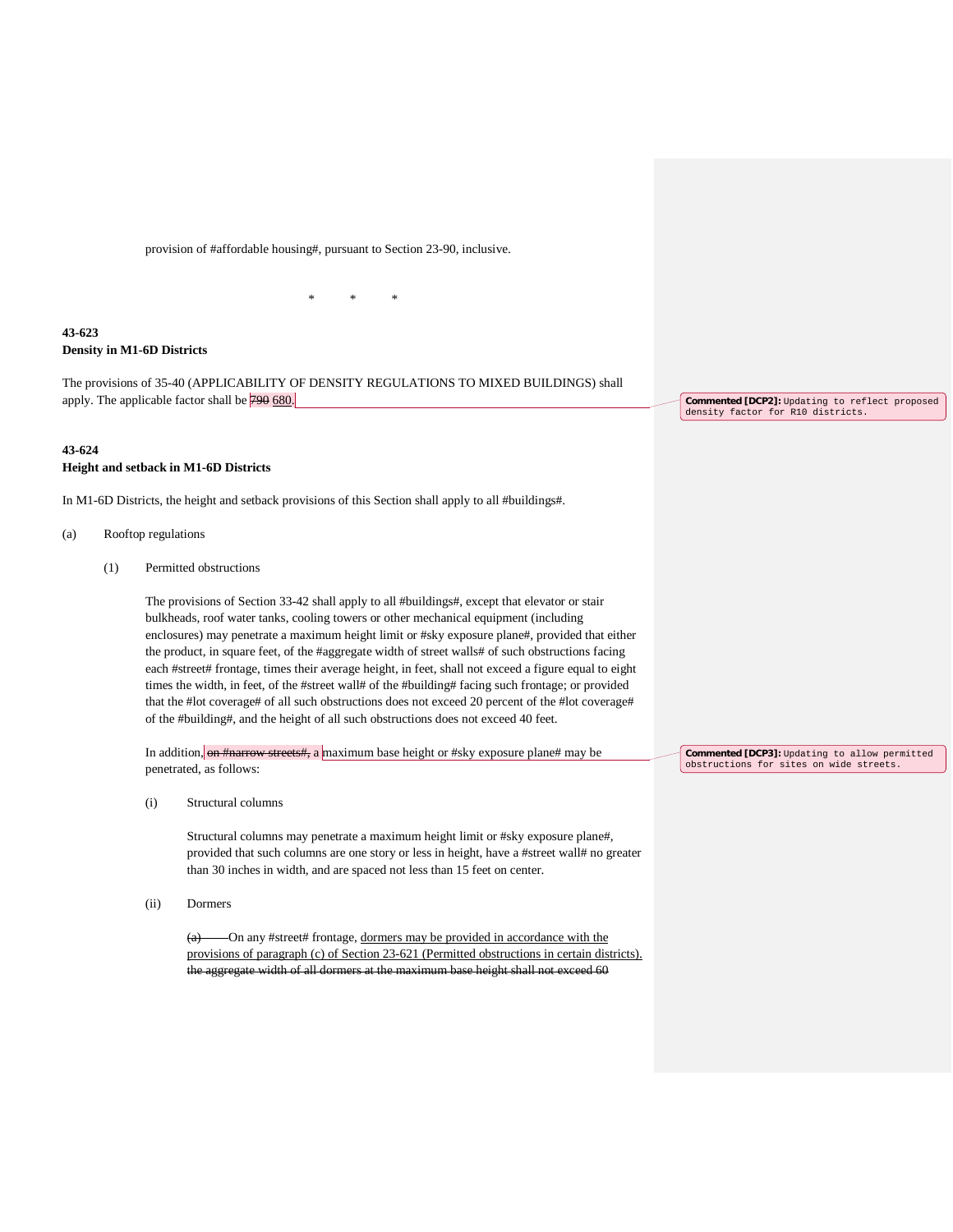provision of #affordable housing#, pursuant to Section 23-90, inclusive.

# **43-623 Density in M1-6D Districts**

The provisions of 35-40 (APPLICABILITY OF DENSITY REGULATIONS TO MIXED BUILDINGS) shall apply. The applicable factor shall be 790 680.

\* \* \*

# **43-624 Height and setback in M1-6D Districts**

In M1-6D Districts, the height and setback provisions of this Section shall apply to all #buildings#.

- (a) Rooftop regulations
	- (1) Permitted obstructions

The provisions of Section 33-42 shall apply to all #buildings#, except that elevator or stair bulkheads, roof water tanks, cooling towers or other mechanical equipment (including enclosures) may penetrate a maximum height limit or #sky exposure plane#, provided that either the product, in square feet, of the #aggregate width of street walls# of such obstructions facing each #street# frontage, times their average height, in feet, shall not exceed a figure equal to eight times the width, in feet, of the #street wall# of the #building# facing such frontage; or provided that the #lot coverage# of all such obstructions does not exceed 20 percent of the #lot coverage# of the #building#, and the height of all such obstructions does not exceed 40 feet.

In addition, on #narrow streets#, a maximum base height or #sky exposure plane# may be penetrated, as follows:

(i) Structural columns

Structural columns may penetrate a maximum height limit or #sky exposure plane#, provided that such columns are one story or less in height, have a #street wall# no greater than 30 inches in width, and are spaced not less than 15 feet on center.

(ii) Dormers

(a) On any #street# frontage, dormers may be provided in accordance with the provisions of paragraph (c) of Section 23-621 (Permitted obstructions in certain districts). the aggregate width of all dormers at the maximum base height shall not exceed 60

**Commented [DCP2]:** Updating to reflect proposed density factor for R10 districts.

**Commented [DCP3]:** Updating to allow permitted obstructions for sites on wide streets.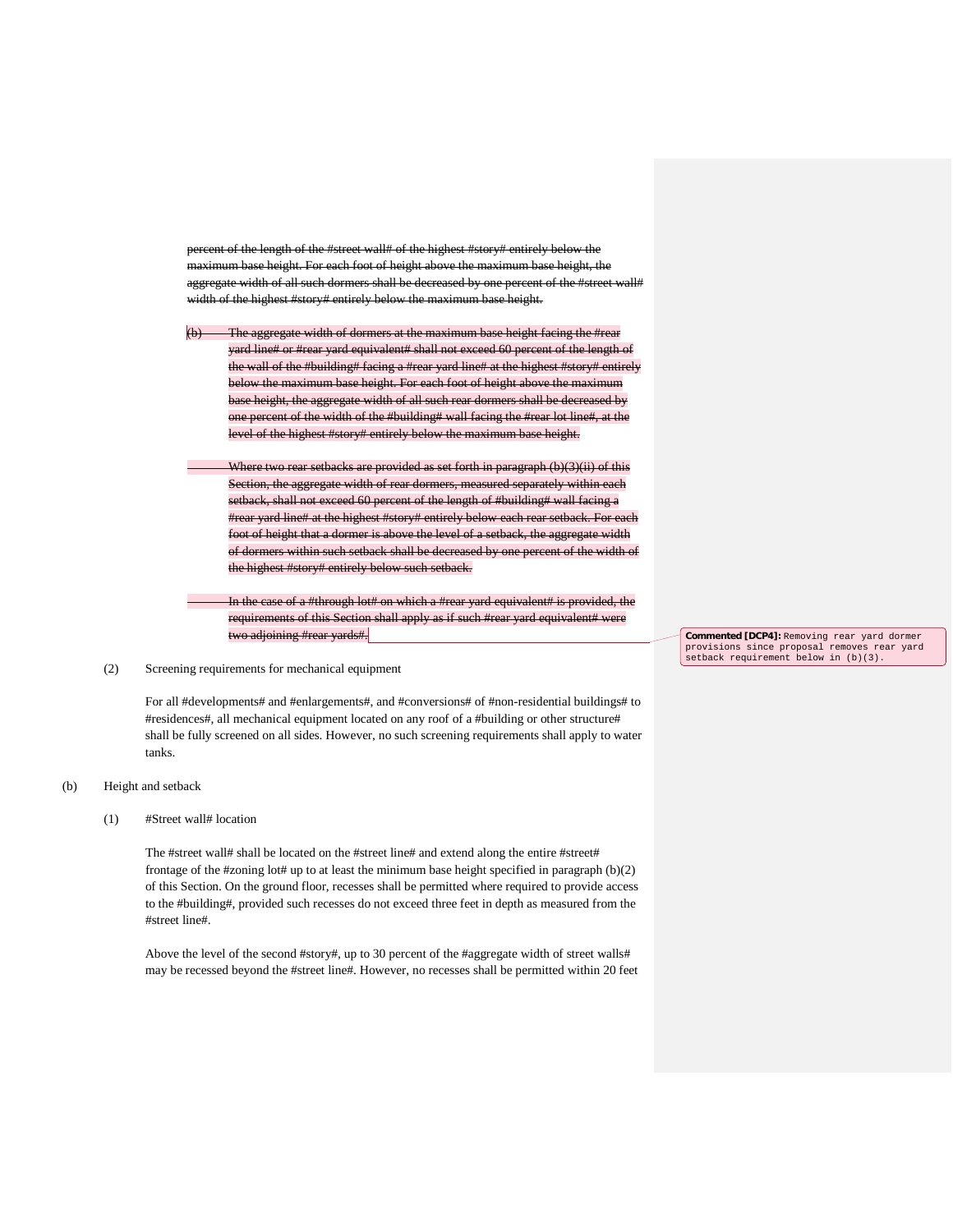percent of the length of the #street wall# of the highest #story# entirely below the For each foot of height above the aggregate width of all such dormers shall be decreased by one percent of the #street wall# width of the highest #story# entirely below the maximum base height.

The aggregate width of dormers at the maximum base height facing the #rear yard line# or #rear yard equivalent# shall not exceed 60 percent of the length of the wall of the #building# facing a #rear yard line# at the highest #story# entirely below the maximum base height. For each foot of height above the maximum base height, the aggregate width of all such rear dormers shall be decreased by one percent of the width of the #building# wall facing the #rear lot line#, at the level of the highest #story# entirely below the maximum base height.

Where two rear setbacks are provided as set forth in paragraph (b)(3)(ii) of this Section, the aggregate width of rear dormers, measured separately within each setback, shall not exceed 60 percent of the length of #building# wall facing a #rear yard line# at the highest #story# entirely below each rear setback. For each foot of height that a dormer is above the level of a setback, the aggregate width of dormers within such setback shall be decreased by one percent of the width of the highest #story# entirely below such setback.

In the case of a #through lot# on which a #rear yard equivalent# is provided, the requirements of this Section shall apply as if such #rear yard equivalent# were two adjoining #r

### (2) Screening requirements for mechanical equipment

For all #developments# and #enlargements#, and #conversions# of #non-residential buildings# to #residences#, all mechanical equipment located on any roof of a #building or other structure# shall be fully screened on all sides. However, no such screening requirements shall apply to water tanks.

# (b) Height and setback

# (1) #Street wall# location

The #street wall# shall be located on the #street line# and extend along the entire #street# frontage of the #zoning lot# up to at least the minimum base height specified in paragraph (b)(2) of this Section. On the ground floor, recesses shall be permitted where required to provide access to the #building#, provided such recesses do not exceed three feet in depth as measured from the #street line#.

Above the level of the second #story#, up to 30 percent of the #aggregate width of street walls# may be recessed beyond the #street line#. However, no recesses shall be permitted within 20 feet **Commented [DCP4]:** Removing rear yard dormer provisions since proposal removes rear yard setback requirement below in (b)(3).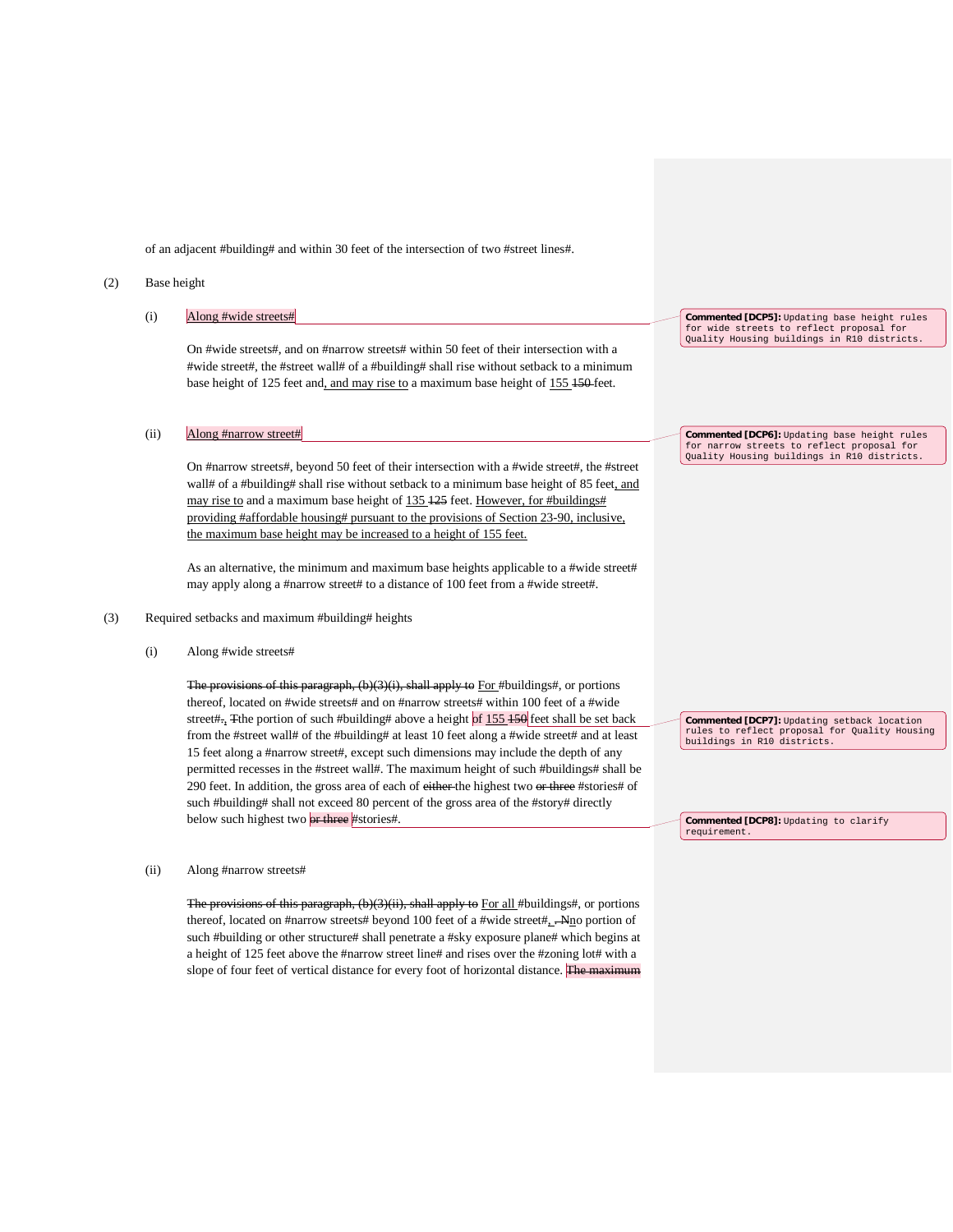of an adjacent #building# and within 30 feet of the intersection of two #street lines#.

#### (2) Base height

|     | (i)                                              | Along #wide streets#                                                                                                                                                                                                                                                                                                                                                                                                                       | <b>Commented [DCP5]:</b> Updating base height rules<br>for wide streets to reflect proposal for<br>Quality Housing buildings in R10 districts. |
|-----|--------------------------------------------------|--------------------------------------------------------------------------------------------------------------------------------------------------------------------------------------------------------------------------------------------------------------------------------------------------------------------------------------------------------------------------------------------------------------------------------------------|------------------------------------------------------------------------------------------------------------------------------------------------|
|     |                                                  | On #wide streets#, and on #narrow streets# within 50 feet of their intersection with a<br>#wide street#, the #street wall# of a #building# shall rise without setback to a minimum<br>base height of 125 feet and, and may rise to a maximum base height of 155 450 feet.                                                                                                                                                                  |                                                                                                                                                |
|     | (ii)                                             | Along #narrow street#                                                                                                                                                                                                                                                                                                                                                                                                                      | Commented [DCP6]: Updating base height rules<br>for narrow streets to reflect proposal for                                                     |
|     |                                                  | On #narrow streets#, beyond 50 feet of their intersection with a #wide street#, the #street<br>wall# of a #building# shall rise without setback to a minimum base height of 85 feet, and<br>may rise to and a maximum base height of 135 125 feet. However, for #buildings#<br>providing #affordable housing# pursuant to the provisions of Section 23-90, inclusive,<br>the maximum base height may be increased to a height of 155 feet. | Quality Housing buildings in R10 districts.                                                                                                    |
|     |                                                  | As an alternative, the minimum and maximum base heights applicable to a #wide street#<br>may apply along a #narrow street# to a distance of 100 feet from a #wide street#.                                                                                                                                                                                                                                                                 |                                                                                                                                                |
| (3) | Required setbacks and maximum #building# heights |                                                                                                                                                                                                                                                                                                                                                                                                                                            |                                                                                                                                                |
|     | (i)                                              | Along #wide streets#                                                                                                                                                                                                                                                                                                                                                                                                                       |                                                                                                                                                |
|     |                                                  |                                                                                                                                                                                                                                                                                                                                                                                                                                            |                                                                                                                                                |

The provisions of this paragraph, (b)(3)(i), shall apply to For #buildings#, or portions thereof, located on #wide streets# and on #narrow streets# within 100 feet of a #wide street#., Tthe portion of such #building# above a height of  $155\,150$  feet shall be set back from the #street wall# of the #building# at least 10 feet along a #wide street# and at least 15 feet along a #narrow street#, except such dimensions may include the depth of any permitted recesses in the #street wall#. The maximum height of such #buildings# shall be 290 feet. In addition, the gross area of each of either the highest two or three #stories# of such #building# shall not exceed 80 percent of the gross area of the #story# directly below such highest two or three #stories#.

**Commented [DCP7]:** Updating setback location rules to reflect proposal for Quality Housing buildings in R10 districts.

**Commented [DCP8]:** Updating to clarify requirement.

#### (ii) Along #narrow streets#

The provisions of this paragraph, (b)(3)(ii), shall apply to For all #buildings#, or portions thereof, located on #narrow streets# beyond 100 feet of a #wide street#, . Nno portion of such #building or other structure# shall penetrate a #sky exposure plane# which begins at a height of 125 feet above the #narrow street line# and rises over the #zoning lot# with a slope of four feet of vertical distance for every foot of horizontal distance. The maximum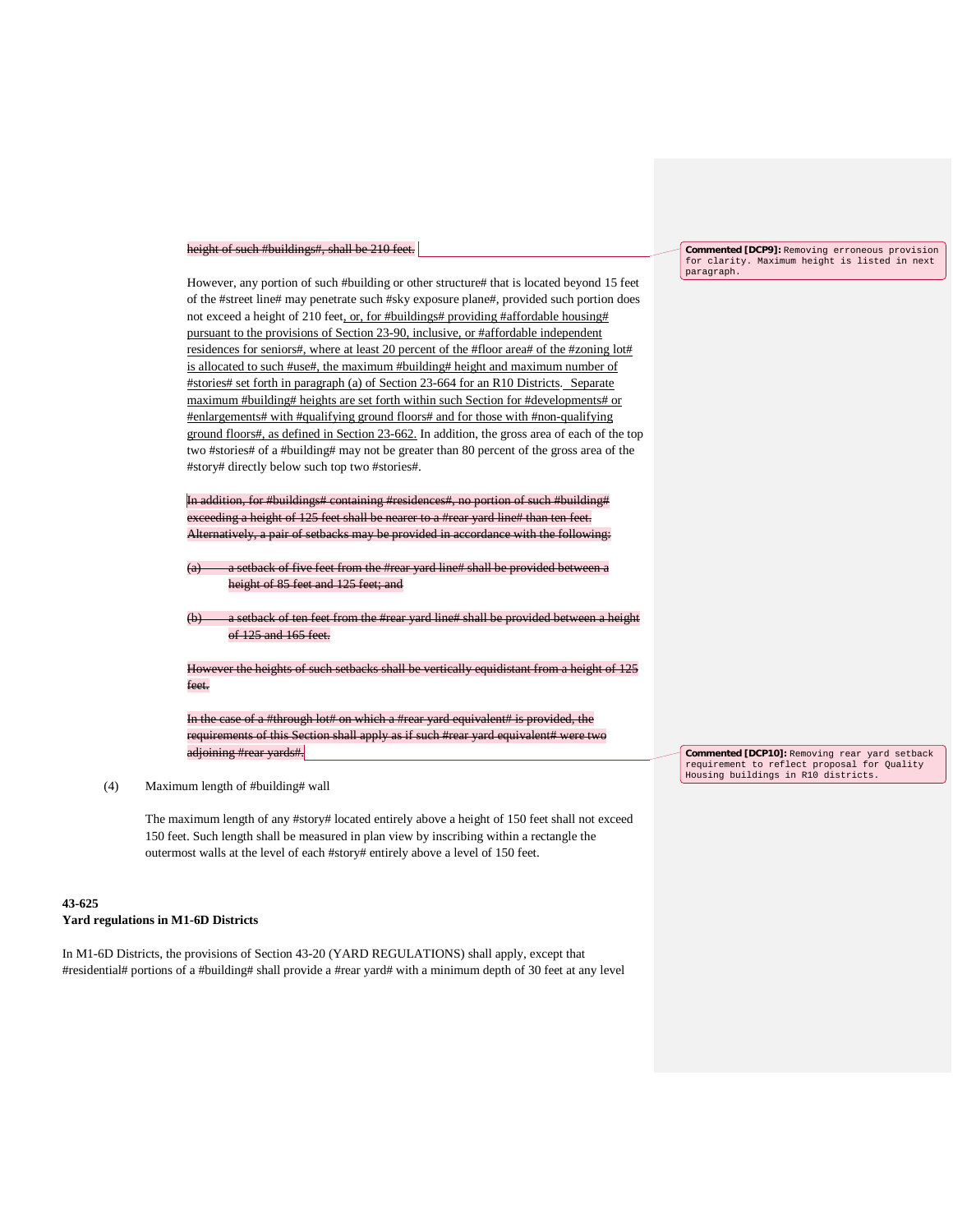#### height of such #buildings#, shall be 210 feet.

However, any portion of such #building or other structure# that is located beyond 15 feet of the #street line# may penetrate such #sky exposure plane#, provided such portion does not exceed a height of 210 feet, or, for #buildings# providing #affordable housing# pursuant to the provisions of Section 23-90, inclusive, or #affordable independent residences for seniors#, where at least 20 percent of the #floor area# of the #zoning lot# is allocated to such #use#, the maximum #building# height and maximum number of #stories# set forth in paragraph (a) of Section 23-664 for an R10 Districts. Separate maximum #building# heights are set forth within such Section for #developments# or #enlargements# with #qualifying ground floors# and for those with #non-qualifying ground floors#, as defined in Section 23-662. In addition, the gross area of each of the top two #stories# of a #building# may not be greater than 80 percent of the gross area of the #story# directly below such top two #stories#.

In addition, for #buildings# containing #residences#, no portion of such #building# exceeding a height of 125 feet shall be nearer to a #rear yard line# than ten feet. Alternatively, a pair of setbacks may be provided in accordance with the following:

- a setback of five feet from the #rear yard line# shall be provided betw height of 85 feet and 125 feet; and
- tback of ten feet from the #rear yard line# shall be provided between a height of 125 and 165 feet.

However the heights of such setbacks shall be vertically equidistant from a height of 125 feet.

In the case of a #through lot# on which a #rear yard equivalent# is provided, the requirements of this Section shall apply as if such #rear yard equivalent# w adjoining #rear yards#.

### (4) Maximum length of #building# wall

The maximum length of any #story# located entirely above a height of 150 feet shall not exceed 150 feet. Such length shall be measured in plan view by inscribing within a rectangle the outermost walls at the level of each #story# entirely above a level of 150 feet.

#### **43-625**

#### **Yard regulations in M1-6D Districts**

In M1-6D Districts, the provisions of Section 43-20 (YARD REGULATIONS) shall apply, except that #residential# portions of a #building# shall provide a #rear yard# with a minimum depth of 30 feet at any level

**Commented [DCP9]:** Removing erroneous provision for clarity. Maximum height is listed in next paragraph.

**Commented [DCP10]:** Removing rear yard setback requirement to reflect proposal for Quality Housing buildings in R10 districts.